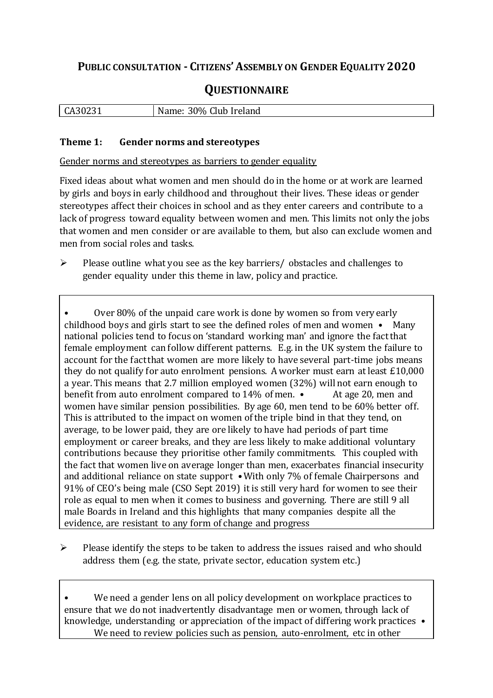## **PUBLIC CONSULTATION - CITIZENS'ASSEMBLY ON GENDER EQUALITY 2020**

# **QUESTIONNAIRE**

| A30231 | Club<br>30%<br>∙ەmcN<br>Ireland<br>vallie. |
|--------|--------------------------------------------|
|        |                                            |

#### **Theme 1: Gender norms and stereotypes**

Gender norms and stereotypes as barriers to gender equality

Fixed ideas about what women and men should do in the home or at work are learned by girls and boys in early childhood and throughout their lives. These ideas or gender stereotypes affect their choices in school and as they enter careers and contribute to a lack of progress toward equality between women and men. This limits not only the jobs that women and men consider or are available to them, but also can exclude women and men from social roles and tasks.

 $\triangleright$  Please outline what you see as the key barriers/ obstacles and challenges to gender equality under this theme in law, policy and practice.

• Over 80% of the unpaid care work is done by women so from very early childhood boys and girls start to see the defined roles of men and women • Many national policies tend to focus on 'standard working man' and ignore the fact that female employment can follow different patterns. E.g. in the UK system the failure to account for the fact that women are more likely to have several part-time jobs means they do not qualify for auto enrolment pensions. A worker must earn at least £10,000 a year. This means that 2.7 million employed women (32%) will not earn enough to benefit from auto enrolment compared to 14% of men. • At age 20, men and women have similar pension possibilities. By age 60, men tend to be 60% better off. This is attributed to the impact on women of the triple bind in that they tend, on average, to be lower paid, they are ore likely to have had periods of part time employment or career breaks, and they are less likely to make additional voluntary contributions because they prioritise other family commitments. This coupled with the fact that women live on average longer than men, exacerbates financial insecurity and additional reliance on state support •With only 7% of female Chairpersons and 91% of CEO's being male (CSO Sept 2019) it is still very hard for women to see their role as equal to men when it comes to business and governing. There are still 9 all male Boards in Ireland and this highlights that many companies despite all the evidence, are resistant to any form of change and progress

 $\triangleright$  Please identify the steps to be taken to address the issues raised and who should address them (e.g. the state, private sector, education system etc.)

We need a gender lens on all policy development on workplace practices to ensure that we do not inadvertently disadvantage men or women, through lack of knowledge, understanding or appreciation of the impact of differing work practices • We need to review policies such as pension, auto-enrolment, etc in other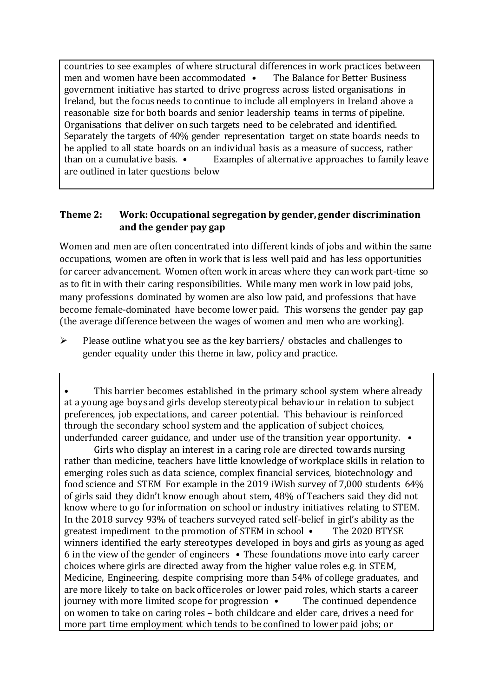countries to see examples of where structural differences in work practices between men and women have been accommodated • The Balance for Better Business government initiative has started to drive progress across listed organisations in Ireland, but the focus needs to continue to include all employers in Ireland above a reasonable size for both boards and senior leadership teams in terms of pipeline. Organisations that deliver on such targets need to be celebrated and identified. Separately the targets of 40% gender representation target on state boards needs to be applied to all state boards on an individual basis as a measure of success, rather than on a cumulative basis. • Examples of alternative approaches to family leave are outlined in later questions below

### **Theme 2: Work: Occupational segregation by gender, gender discrimination and the gender pay gap**

Women and men are often concentrated into different kinds of jobs and within the same occupations, women are often in work that is less well paid and has less opportunities for career advancement. Women often work in areas where they can work part-time so as to fit in with their caring responsibilities. While many men work in low paid jobs, many professions dominated by women are also low paid, and professions that have become female-dominated have become lower paid. This worsens the gender pay gap (the average difference between the wages of women and men who are working).

 $\triangleright$  Please outline what you see as the key barriers/ obstacles and challenges to gender equality under this theme in law, policy and practice.

Girls who display an interest in a caring role are directed towards nursing rather than medicine, teachers have little knowledge of workplace skills in relation to emerging roles such as data science, complex financial services, biotechnology and food science and STEM For example in the 2019 iWish survey of 7,000 students 64% of girls said they didn't know enough about stem, 48% of Teachers said they did not know where to go for information on school or industry initiatives relating to STEM. In the 2018 survey 93% of teachers surveyed rated self-belief in girl's ability as the greatest impediment to the promotion of STEM in school • The 2020 BTYSE winners identified the early stereotypes developed in boys and girls as young as aged 6 in the view of the gender of engineers • These foundations move into early career choices where girls are directed away from the higher value roles e.g. in STEM, Medicine, Engineering, despite comprising more than 54% of college graduates, and are more likely to take on back office roles or lower paid roles, which starts a career journey with more limited scope for progression • The continued dependence on women to take on caring roles – both childcare and elder care, drives a need for more part time employment which tends to be confined to lower paid jobs; or

This barrier becomes established in the primary school system where already at a young age boys and girls develop stereotypical behaviour in relation to subject preferences, job expectations, and career potential. This behaviour is reinforced through the secondary school system and the application of subject choices, underfunded career guidance, and under use of the transition year opportunity.  $\bullet$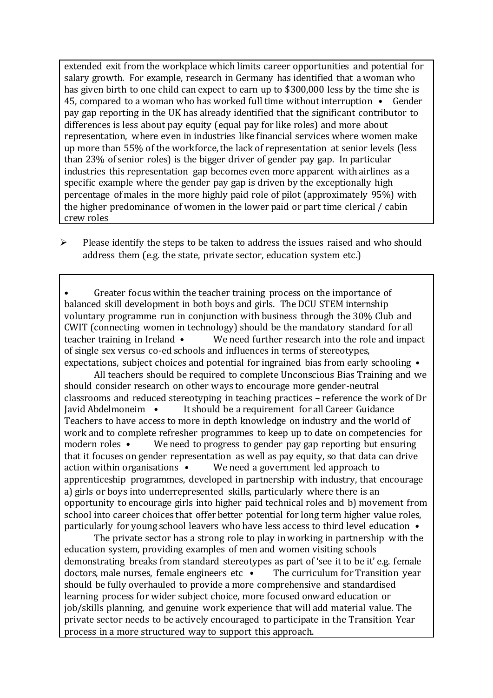extended exit from the workplace which limits career opportunities and potential for salary growth. For example, research in Germany has identified that a woman who has given birth to one child can expect to earn up to \$300,000 less by the time she is 45, compared to a woman who has worked full time without interruption • Gender pay gap reporting in the UK has already identified that the significant contributor to differences is less about pay equity (equal pay for like roles) and more about representation, where even in industries like financial services where women make up more than 55% of the workforce, the lack of representation at senior levels (less than 23% of senior roles) is the bigger driver of gender pay gap. In particular industries this representation gap becomes even more apparent with airlines as a specific example where the gender pay gap is driven by the exceptionally high percentage of males in the more highly paid role of pilot (approximately 95%) with the higher predominance of women in the lower paid or part time clerical / cabin crew roles

 $\triangleright$  Please identify the steps to be taken to address the issues raised and who should address them (e.g. the state, private sector, education system etc.)

Greater focus within the teacher training process on the importance of balanced skill development in both boys and girls. The DCU STEM internship voluntary programme run in conjunction with business through the 30% Club and CWIT (connecting women in technology) should be the mandatory standard for all teacher training in Ireland • We need further research into the role and impact of single sex versus co-ed schools and influences in terms of stereotypes, expectations, subject choices and potential for ingrained bias from early schooling •

All teachers should be required to complete Unconscious Bias Training and we should consider research on other ways to encourage more gender-neutral classrooms and reduced stereotyping in teaching practices – reference the work of Dr Javid Abdelmoneim • It should be a requirement for all Career Guidance Teachers to have access to more in depth knowledge on industry and the world of work and to complete refresher programmes to keep up to date on competencies for modern roles • We need to progress to gender pay gap reporting but ensuring that it focuses on gender representation as well as pay equity, so that data can drive action within organisations • We need a government led approach to apprenticeship programmes, developed in partnership with industry, that encourage a) girls or boys into underrepresented skills, particularly where there is an opportunity to encourage girls into higher paid technical roles and b) movement from school into career choices that offer better potential for long term higher value roles, particularly for young school leavers who have less access to third level education •

The private sector has a strong role to play in working in partnership with the education system, providing examples of men and women visiting schools demonstrating breaks from standard stereotypes as part of 'see it to be it' e.g. female doctors, male nurses, female engineers etc • The curriculum for Transition year should be fully overhauled to provide a more comprehensive and standardised learning process for wider subject choice, more focused onward education or job/skills planning, and genuine work experience that will add material value. The private sector needs to be actively encouraged to participate in the Transition Year process in a more structured way to support this approach.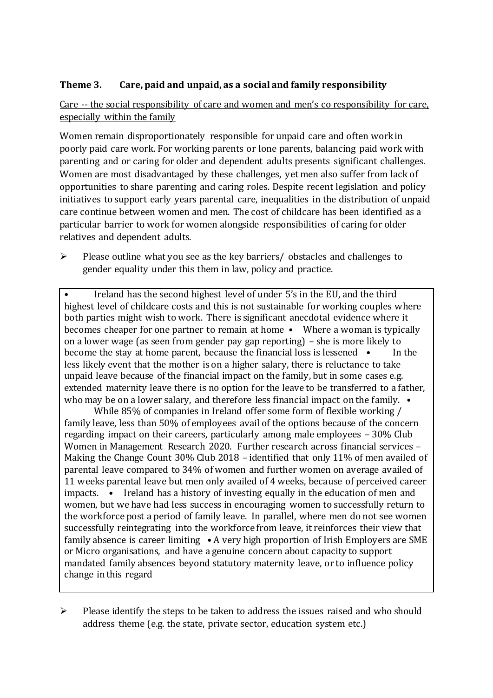#### **Theme 3. Care, paid and unpaid, as a social and family responsibility**

#### Care -- the social responsibility of care and women and men's co responsibility for care, especially within the family

Women remain disproportionately responsible for unpaid care and often work in poorly paid care work. For working parents or [lone parents,](https://aran.library.nuigalway.ie/bitstream/handle/10379/6044/Millar_and_Crosse_Activation_Report.pdf?sequence=1&isAllowed=y) balancing paid work with parenting and or caring for older and dependent adults presents significant challenges. Women are [most disadvantaged by these challenges,](https://eige.europa.eu/gender-equality-index/game/IE/W) yet men also suffer from lack of opportunities to share parenting and caring roles. Despite recent legislation and policy initiatives to support early years parental care, [inequalities in the distribution of unpaid](https://www.ihrec.ie/app/uploads/2019/07/Caring-and-Unpaid-Work-in-Ireland_Final.pdf)  [care](https://www.ihrec.ie/app/uploads/2019/07/Caring-and-Unpaid-Work-in-Ireland_Final.pdf) continue between women and men. The cost of childcare has been identified as a particular barrier to work for women alongside responsibilities of caring for older relatives and dependent adults.

 $\triangleright$  Please outline what you see as the key barriers/ obstacles and challenges to gender equality under this them in law, policy and practice.

• Ireland has the second highest level of under 5's in the EU, and the third highest level of childcare costs and this is not sustainable for working couples where both parties might wish to work. There is significant anecdotal evidence where it becomes cheaper for one partner to remain at home • Where a woman is typically on a lower wage (as seen from gender pay gap reporting) – she is more likely to become the stay at home parent, because the financial loss is lessened • In the less likely event that the mother is on a higher salary, there is reluctance to take unpaid leave because of the financial impact on the family, but in some cases e.g. extended maternity leave there is no option for the leave to be transferred to a father, who may be on a lower salary, and therefore less financial impact on the family.  $\bullet$ 

While 85% of companies in Ireland offer some form of flexible working / family leave, less than 50% of employees avail of the options because of the concern regarding impact on their careers, particularly among male employees – 30% Club Women in Management Research 2020. Further research across financial services – Making the Change Count 30% Club 2018 – identified that only 11% of men availed of parental leave compared to 34% of women and further women on average availed of 11 weeks parental leave but men only availed of 4 weeks, because of perceived career impacts. • Ireland has a history of investing equally in the education of men and women, but we have had less success in encouraging women to successfully return to the workforce post a period of family leave. In parallel, where men do not see women successfully reintegrating into the workforce from leave, it reinforces their view that family absence is career limiting • A very high proportion of Irish Employers are SME or Micro organisations, and have a genuine concern about capacity to support mandated family absences beyond statutory maternity leave, or to influence policy change in this regard

 $\triangleright$  Please identify the steps to be taken to address the issues raised and who should address theme (e.g. the state, private sector, education system etc.)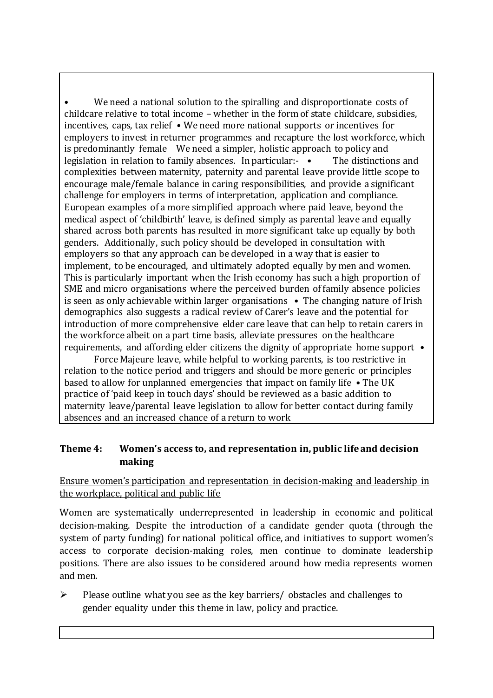We need a national solution to the spiralling and disproportionate costs of childcare relative to total income – whether in the form of state childcare, subsidies, incentives, caps, tax relief • We need more national supports or incentives for employers to invest in returner programmes and recapture the lost workforce, which is predominantly female We need a simpler, holistic approach to policy and legislation in relation to family absences. In particular:- • The distinctions and complexities between maternity, paternity and parental leave provide little scope to encourage male/female balance in caring responsibilities, and provide a significant challenge for employers in terms of interpretation, application and compliance. European examples of a more simplified approach where paid leave, beyond the medical aspect of 'childbirth' leave, is defined simply as parental leave and equally shared across both parents has resulted in more significant take up equally by both genders. Additionally, such policy should be developed in consultation with employers so that any approach can be developed in a way that is easier to implement, to be encouraged, and ultimately adopted equally by men and women. This is particularly important when the Irish economy has such a high proportion of SME and micro organisations where the perceived burden of family absence policies is seen as only achievable within larger organisations • The changing nature of Irish demographics also suggests a radical review of Carer's leave and the potential for introduction of more comprehensive elder care leave that can help to retain carers in the workforce albeit on a part time basis, alleviate pressures on the healthcare requirements, and affording elder citizens the dignity of appropriate home support •

Force Majeure leave, while helpful to working parents, is too restrictive in relation to the notice period and triggers and should be more generic or principles based to allow for unplanned emergencies that impact on family life • The UK practice of 'paid keep in touch days' should be reviewed as a basic addition to maternity leave/parental leave legislation to allow for better contact during family absences and an increased chance of a return to work

#### **Theme 4: Women's access to, and representation in, public life and decision making**

#### Ensure women's participation and representation in decision-making and leadership in the workplace, political and public life

Women are systematically underrepresented in leadership in [economic](https://eige.europa.eu/gender-equality-index/2019/compare-countries/power/2/bar) and [political](https://eige.europa.eu/gender-equality-index/2019/compare-countries/power/1/bar)  [decision-](https://eige.europa.eu/gender-equality-index/2019/compare-countries/power/1/bar)making. Despite the introduction of a candidate gender quota (through the system of party funding) for national political office, and [initiatives](https://betterbalance.ie/) to support women's access to corporate decision-making roles, men continue to dominate leadership positions. There are also issues to be considered around how media represents women and men.

 $\triangleright$  Please outline what you see as the key barriers/ obstacles and challenges to gender equality under this theme in law, policy and practice.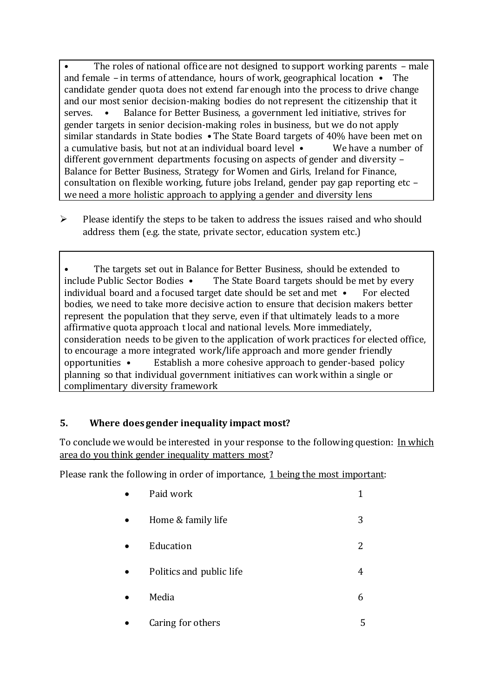• The roles of national office are not designed to support working parents – male and female – in terms of attendance, hours of work, geographical location • The candidate gender quota does not extend far enough into the process to drive change and our most senior decision-making bodies do not represent the citizenship that it serves. • Balance for Better Business, a government led initiative, strives for gender targets in senior decision-making roles in business, but we do not apply similar standards in State bodies • The State Board targets of 40% have been met on a cumulative basis, but not at an individual board level • We have a number of different government departments focusing on aspects of gender and diversity – Balance for Better Business, Strategy for Women and Girls, Ireland for Finance, consultation on flexible working, future jobs Ireland, gender pay gap reporting etc – we need a more holistic approach to applying a gender and diversity lens

 $\triangleright$  Please identify the steps to be taken to address the issues raised and who should address them (e.g. the state, private sector, education system etc.)

The targets set out in Balance for Better Business, should be extended to include Public Sector Bodies • The State Board targets should be met by every individual board and a focused target date should be set and met  $\bullet$  For elected bodies, we need to take more decisive action to ensure that decision makers better represent the population that they serve, even if that ultimately leads to a more affirmative quota approach t local and national levels. More immediately, consideration needs to be given to the application of work practices for elected office, to encourage a more integrated work/life approach and more gender friendly opportunities • Establish a more cohesive approach to gender-based policy planning so that individual government initiatives can work within a single or complimentary diversity framework

#### **5. Where does gender inequality impact most?**

To conclude we would be interested in your response to the following question: In which area do you think gender inequality matters most?

Please rank the following in order of importance, 1 being the most important:

| Paid work                |   |
|--------------------------|---|
| Home & family life       | 3 |
| Education                | 2 |
| Politics and public life |   |
| Media                    | h |
|                          |   |

Caring for others 5